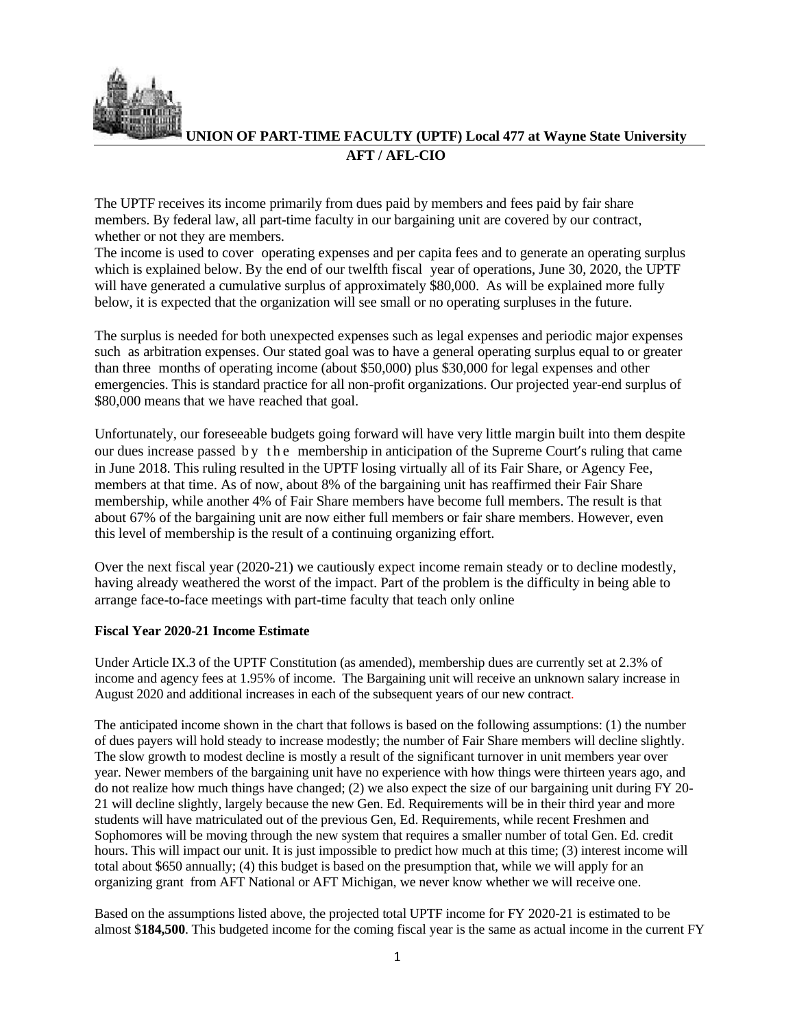

**UNION OF PART-TIME FACULTY (UPTF) Local 477 at Wayne State University AFT / AFL-CIO**

The UPTF receives its income primarily from dues paid by members and fees paid by fair share members. By federal law, all part-time faculty in our bargaining unit are covered by our contract, whether or not they are members.

The income is used to cover operating expenses and per capita fees and to generate an operating surplus which is explained below. By the end of our twelfth fiscal year of operations, June 30, 2020, the UPTF will have generated a cumulative surplus of approximately \$80,000. As will be explained more fully below, it is expected that the organization will see small or no operating surpluses in the future.

The surplus is needed for both unexpected expenses such as legal expenses and periodic major expenses such as arbitration expenses. Our stated goal was to have a general operating surplus equal to or greater than three months of operating income (about \$50,000) plus \$30,000 for legal expenses and other emergencies. This is standard practice for all non-profit organizations. Our projected year-end surplus of \$80,000 means that we have reached that goal.

Unfortunately, our foreseeable budgets going forward will have very little margin built into them despite our dues increase passed by the membership in anticipation of the Supreme Court's ruling that came in June 2018. This ruling resulted in the UPTF losing virtually all of its Fair Share, or Agency Fee, members at that time. As of now, about 8% of the bargaining unit has reaffirmed their Fair Share membership, while another 4% of Fair Share members have become full members. The result is that about 67% of the bargaining unit are now either full members or fair share members. However, even this level of membership is the result of a continuing organizing effort.

Over the next fiscal year (2020-21) we cautiously expect income remain steady or to decline modestly, having already weathered the worst of the impact. Part of the problem is the difficulty in being able to arrange face-to-face meetings with part-time faculty that teach only online

## **Fiscal Year 2020-21 Income Estimate**

Under Article IX.3 of the UPTF Constitution (as amended), membership dues are currently set at 2.3% of income and agency fees at 1.95% of income. The Bargaining unit will receive an unknown salary increase in August 2020 and additional increases in each of the subsequent years of our new contract.

The anticipated income shown in the chart that follows is based on the following assumptions: (1) the number of dues payers will hold steady to increase modestly; the number of Fair Share members will decline slightly. The slow growth to modest decline is mostly a result of the significant turnover in unit members year over year. Newer members of the bargaining unit have no experience with how things were thirteen years ago, and do not realize how much things have changed; (2) we also expect the size of our bargaining unit during FY 20- 21 will decline slightly, largely because the new Gen. Ed. Requirements will be in their third year and more students will have matriculated out of the previous Gen, Ed. Requirements, while recent Freshmen and Sophomores will be moving through the new system that requires a smaller number of total Gen. Ed. credit hours. This will impact our unit. It is just impossible to predict how much at this time; (3) interest income will total about \$650 annually; (4) this budget is based on the presumption that, while we will apply for an organizing grant from AFT National or AFT Michigan, we never know whether we will receive one.

Based on the assumptions listed above, the projected total UPTF income for FY 2020-21 is estimated to be almost \$**184,500**. This budgeted income for the coming fiscal year is the same as actual income in the current FY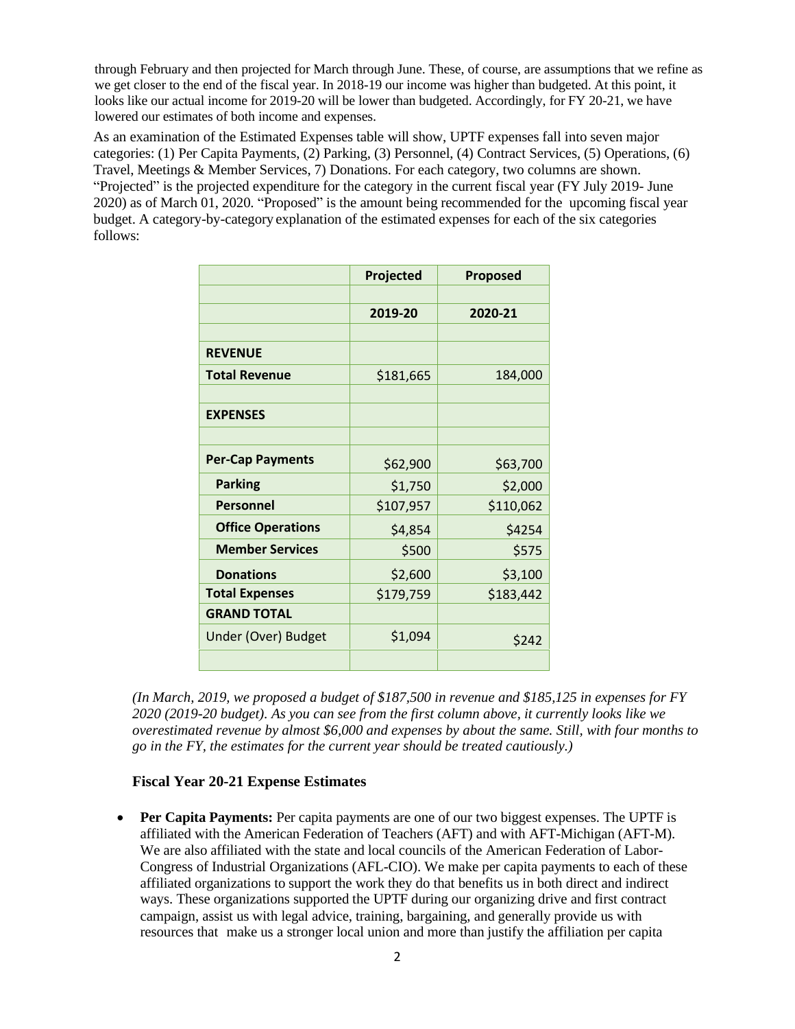through February and then projected for March through June. These, of course, are assumptions that we refine as we get closer to the end of the fiscal year. In 2018-19 our income was higher than budgeted. At this point, it looks like our actual income for 2019-20 will be lower than budgeted. Accordingly, for FY 20-21, we have lowered our estimates of both income and expenses.

As an examination of the Estimated Expenses table will show, UPTF expenses fall into seven major categories: (1) Per Capita Payments, (2) Parking, (3) Personnel, (4) Contract Services, (5) Operations, (6) Travel, Meetings & Member Services, 7) Donations. For each category, two columns are shown. "Projected" is the projected expenditure for the category in the current fiscal year (FY July 2019- June 2020) as of March 01, 2020. "Proposed" is the amount being recommended for the upcoming fiscal year budget. A category-by-category explanation of the estimated expenses for each of the six categories follows:

|                          | Projected | Proposed  |
|--------------------------|-----------|-----------|
|                          |           |           |
|                          | 2019-20   | 2020-21   |
|                          |           |           |
| <b>REVENUE</b>           |           |           |
| <b>Total Revenue</b>     | \$181,665 | 184,000   |
|                          |           |           |
| <b>EXPENSES</b>          |           |           |
|                          |           |           |
| <b>Per-Cap Payments</b>  | \$62,900  | \$63,700  |
| <b>Parking</b>           | \$1,750   | \$2,000   |
| Personnel                | \$107,957 | \$110,062 |
| <b>Office Operations</b> | \$4,854   | \$4254    |
| <b>Member Services</b>   | \$500     | \$575     |
| <b>Donations</b>         | \$2,600   | \$3,100   |
| <b>Total Expenses</b>    | \$179,759 | \$183,442 |
| <b>GRAND TOTAL</b>       |           |           |
| Under (Over) Budget      | \$1,094   | \$242     |
|                          |           |           |

*(In March, 2019, we proposed a budget of \$187,500 in revenue and \$185,125 in expenses for FY 2020 (2019-20 budget). As you can see from the first column above, it currently looks like we overestimated revenue by almost \$6,000 and expenses by about the same. Still, with four months to go in the FY, the estimates for the current year should be treated cautiously.)*

## **Fiscal Year 20-21 Expense Estimates**

• **Per Capita Payments:** Per capita payments are one of our two biggest expenses. The UPTF is affiliated with the American Federation of Teachers (AFT) and with AFT-Michigan (AFT-M). We are also affiliated with the state and local councils of the American Federation of Labor-Congress of Industrial Organizations (AFL-CIO). We make per capita payments to each of these affiliated organizations to support the work they do that benefits us in both direct and indirect ways. These organizations supported the UPTF during our organizing drive and first contract campaign, assist us with legal advice, training, bargaining, and generally provide us with resources that make us a stronger local union and more than justify the affiliation per capita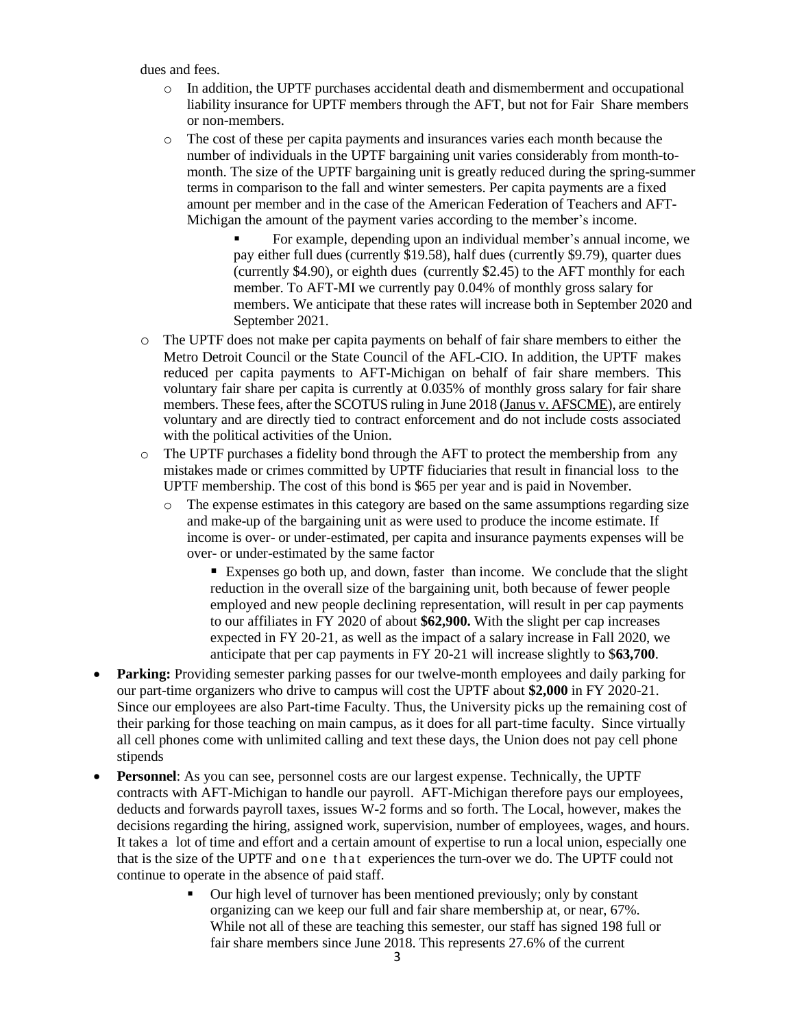dues and fees.

- $\circ$  In addition, the UPTF purchases accidental death and dismemberment and occupational liability insurance for UPTF members through the AFT, but not for Fair Share members or non-members.
- o The cost of these per capita payments and insurances varies each month because the number of individuals in the UPTF bargaining unit varies considerably from month-tomonth. The size of the UPTF bargaining unit is greatly reduced during the spring-summer terms in comparison to the fall and winter semesters. Per capita payments are a fixed amount per member and in the case of the American Federation of Teachers and AFT-Michigan the amount of the payment varies according to the member's income.
	- For example, depending upon an individual member's annual income, we pay either full dues (currently \$19.58), half dues (currently \$9.79), quarter dues (currently \$4.90), or eighth dues (currently \$2.45) to the AFT monthly for each member. To AFT-MI we currently pay 0.04% of monthly gross salary for members. We anticipate that these rates will increase both in September 2020 and September 2021.
- o The UPTF does not make per capita payments on behalf of fair share members to either the Metro Detroit Council or the State Council of the AFL-CIO. In addition, the UPTF makes reduced per capita payments to AFT-Michigan on behalf of fair share members. This voluntary fair share per capita is currently at 0.035% of monthly gross salary for fair share members. These fees, after the SCOTUS ruling in June 2018 (Janus v. AFSCME), are entirely voluntary and are directly tied to contract enforcement and do not include costs associated with the political activities of the Union.
- o The UPTF purchases a fidelity bond through the AFT to protect the membership from any mistakes made or crimes committed by UPTF fiduciaries that result in financial loss to the UPTF membership. The cost of this bond is \$65 per year and is paid in November.
	- o The expense estimates in this category are based on the same assumptions regarding size and make-up of the bargaining unit as were used to produce the income estimate. If income is over- or under-estimated, per capita and insurance payments expenses will be over- or under-estimated by the same factor
		- Expenses go both up, and down, faster than income. We conclude that the slight reduction in the overall size of the bargaining unit, both because of fewer people employed and new people declining representation, will result in per cap payments to our affiliates in FY 2020 of about **\$62,900.** With the slight per cap increases expected in FY 20-21, as well as the impact of a salary increase in Fall 2020, we anticipate that per cap payments in FY 20-21 will increase slightly to \$**63,700**.
- **Parking:** Providing semester parking passes for our twelve-month employees and daily parking for our part-time organizers who drive to campus will cost the UPTF about **\$2,000** in FY 2020-21. Since our employees are also Part-time Faculty. Thus, the University picks up the remaining cost of their parking for those teaching on main campus, as it does for all part-time faculty. Since virtually all cell phones come with unlimited calling and text these days, the Union does not pay cell phone stipends
- **Personnel**: As you can see, personnel costs are our largest expense. Technically, the UPTF contracts with AFT-Michigan to handle our payroll. AFT-Michigan therefore pays our employees, deducts and forwards payroll taxes, issues W-2 forms and so forth. The Local, however, makes the decisions regarding the hiring, assigned work, supervision, number of employees, wages, and hours. It takes a lot of time and effort and a certain amount of expertise to run a local union, especially one that is the size of the UPTF and one that experiences the turn-over we do. The UPTF could not continue to operate in the absence of paid staff.
	- Our high level of turnover has been mentioned previously; only by constant organizing can we keep our full and fair share membership at, or near, 67%. While not all of these are teaching this semester, our staff has signed 198 full or fair share members since June 2018. This represents 27.6% of the current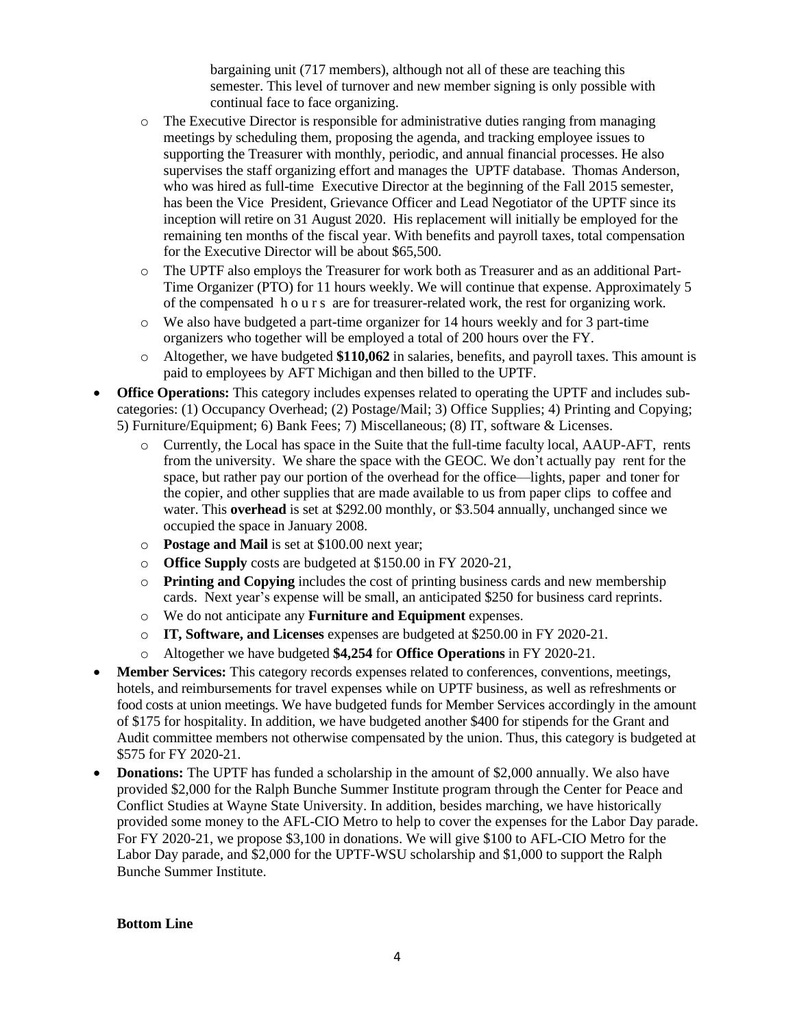bargaining unit (717 members), although not all of these are teaching this semester. This level of turnover and new member signing is only possible with continual face to face organizing.

- o The Executive Director is responsible for administrative duties ranging from managing meetings by scheduling them, proposing the agenda, and tracking employee issues to supporting the Treasurer with monthly, periodic, and annual financial processes. He also supervises the staff organizing effort and manages the UPTF database. Thomas Anderson, who was hired as full-time Executive Director at the beginning of the Fall 2015 semester, has been the Vice President, Grievance Officer and Lead Negotiator of the UPTF since its inception will retire on 31 August 2020. His replacement will initially be employed for the remaining ten months of the fiscal year. With benefits and payroll taxes, total compensation for the Executive Director will be about \$65,500.
- o The UPTF also employs the Treasurer for work both as Treasurer and as an additional Part-Time Organizer (PTO) for 11 hours weekly. We will continue that expense. Approximately 5 of the compensated h o u r s are for treasurer-related work, the rest for organizing work.
- o We also have budgeted a part-time organizer for 14 hours weekly and for 3 part-time organizers who together will be employed a total of 200 hours over the FY.
- o Altogether, we have budgeted **\$110,062** in salaries, benefits, and payroll taxes. This amount is paid to employees by AFT Michigan and then billed to the UPTF.
- **Office Operations:** This category includes expenses related to operating the UPTF and includes subcategories: (1) Occupancy Overhead; (2) Postage/Mail; 3) Office Supplies; 4) Printing and Copying; 5) Furniture/Equipment; 6) Bank Fees; 7) Miscellaneous; (8) IT, software & Licenses.
	- o Currently, the Local has space in the Suite that the full-time faculty local, AAUP-AFT, rents from the university. We share the space with the GEOC. We don't actually pay rent for the space, but rather pay our portion of the overhead for the office—lights, paper and toner for the copier, and other supplies that are made available to us from paper clips to coffee and water. This **overhead** is set at \$292.00 monthly, or \$3.504 annually, unchanged since we occupied the space in January 2008.
	- o **Postage and Mail** is set at \$100.00 next year;
	- o **Office Supply** costs are budgeted at \$150.00 in FY 2020-21,
	- o **Printing and Copying** includes the cost of printing business cards and new membership cards. Next year's expense will be small, an anticipated \$250 for business card reprints.
	- o We do not anticipate any **Furniture and Equipment** expenses.
	- o **IT, Software, and Licenses** expenses are budgeted at \$250.00 in FY 2020-21.
	- o Altogether we have budgeted **\$4,254** for **Office Operations** in FY 2020-21.
- **Member Services:** This category records expenses related to conferences, conventions, meetings, hotels, and reimbursements for travel expenses while on UPTF business, as well as refreshments or food costs at union meetings. We have budgeted funds for Member Services accordingly in the amount of \$175 for hospitality. In addition, we have budgeted another \$400 for stipends for the Grant and Audit committee members not otherwise compensated by the union. Thus, this category is budgeted at \$575 for FY 2020-21.
- **Donations:** The UPTF has funded a scholarship in the amount of \$2,000 annually. We also have provided \$2,000 for the Ralph Bunche Summer Institute program through the Center for Peace and Conflict Studies at Wayne State University. In addition, besides marching, we have historically provided some money to the AFL-CIO Metro to help to cover the expenses for the Labor Day parade. For FY 2020-21, we propose \$3,100 in donations. We will give \$100 to AFL-CIO Metro for the Labor Day parade, and \$2,000 for the UPTF-WSU scholarship and \$1,000 to support the Ralph Bunche Summer Institute.

## **Bottom Line**